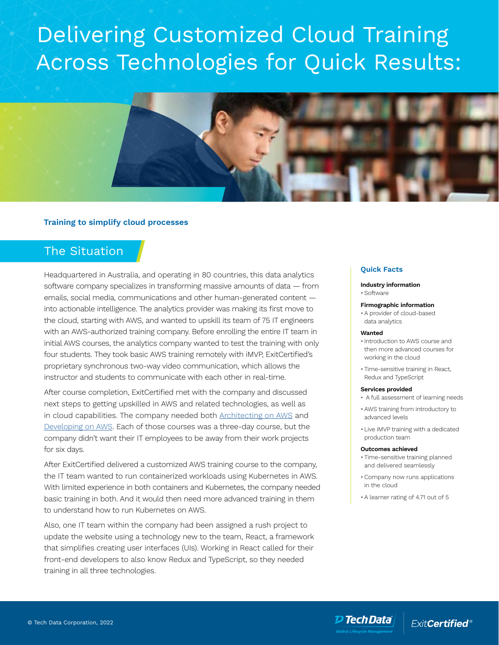# Delivering Customized Cloud Training Across Technologies for Quick Results:



## **Training to simplify cloud processes**

# The Situation

Headquartered in Australia, and operating in 80 countries, this data analytics software company specializes in transforming massive amounts of data — from emails, social media, communications and other human-generated content into actionable intelligence. The analytics provider was making its first move to the cloud, starting with AWS, and wanted to upskill its team of 75 IT engineers with an AWS-authorized training company. Before enrolling the entire IT team in initial AWS courses, the analytics company wanted to test the training with only four students. They took basic AWS training remotely with iMVP, ExitCertified's proprietary synchronous two-way video communication, which allows the instructor and students to communicate with each other in real-time.

After course completion, ExitCertified met with the company and discussed next steps to getting upskilled in AWS and related technologies, as well as in cloud capabilities. The company needed both **Architecting on AWS** and [Developing on AWS.](https://www.exitcertified.com/it-training/aws/developer/developing-26175-detail.html) Each of those courses was a three-day course, but the company didn't want their IT employees to be away from their work projects for six days.

After ExitCertified delivered a customized AWS training course to the company, the IT team wanted to run containerized workloads using Kubernetes in AWS. With limited experience in both containers and Kubernetes, the company needed basic training in both. And it would then need more advanced training in them to understand how to run Kubernetes on AWS.

Also, one IT team within the company had been assigned a rush project to update the website using a technology new to the team, React, a framework that simplifies creating user interfaces (UIs). Working in React called for their front-end developers to also know Redux and TypeScript, so they needed training in all three technologies.

### **Quick Facts**

#### **Industry information** • Software

## **Firmographic information**

• A provider of cloud-based data analytics

#### **Wanted**

- Introduction to AWS course and then more advanced courses for working in the cloud
- Time-sensitive training in React, Redux and TypeScript

#### **Services provided**

- A full assessment of learning needs
- AWS training from introductory to advanced levels
- Live iMVP training with a dedicated production team

#### **Outcomes achieved**

- Time-sensitive training planned and delivered seamlessly
- Company now runs applications in the cloud
- A learner rating of 4.71 out of 5

**ExitCertified®**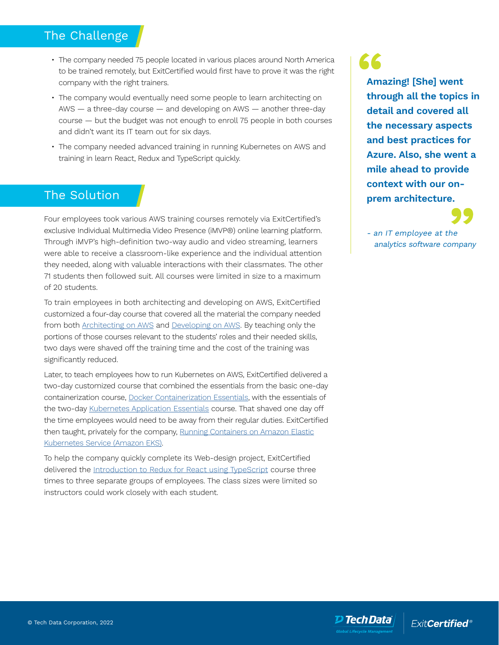# The Challenge

- The company needed 75 people located in various places around North America to be trained remotely, but ExitCertified would first have to prove it was the right company with the right trainers.
- The company would eventually need some people to learn architecting on AWS — a three-day course — and developing on AWS — another three-day course — but the budget was not enough to enroll 75 people in both courses and didn't want its IT team out for six days.
- The company needed advanced training in running Kubernetes on AWS and training in learn React, Redux and TypeScript quickly.

# The Solution

Four employees took various AWS training courses remotely via ExitCertified's exclusive Individual Multimedia Video Presence (iMVP®) online learning platform. Through iMVP's high-definition two-way audio and video streaming, learners were able to receive a classroom-like experience and the individual attention they needed, along with valuable interactions with their classmates. The other 71 students then followed suit. All courses were limited in size to a maximum of 20 students.

To train employees in both architecting and developing on AWS, ExitCertified customized a four-day course that covered all the material the company needed from both **Architecting on AWS** and **Developing on AWS**. By teaching only the portions of those courses relevant to the students' roles and their needed skills, two days were shaved off the training time and the cost of the training was significantly reduced.

Later, to teach employees how to run Kubernetes on AWS, ExitCertified delivered a two-day customized course that combined the essentials from the basic one-day containerization course, [Docker Containerization Essentials,](https://www.exitcertified.com/it-training/mirantis/cloud-native/docker-containerization-essentials-59840-detail.html) with the essentials of the two-day [Kubernetes Application Essentials](https://www.exitcertified.com/it-training/mirantis/cloud-native/kubernetes-application-essentials-59935-detail.html) course. That shaved one day off the time employees would need to be away from their regular duties. ExitCertified then taught, privately for the company, [Running Containers on Amazon Elastic](https://www.exitcertified.com/it-training/aws/dev-ops/amazon-eks-60426-detail.html) [Kubernetes Service \(Amazon EKS\)](https://www.exitcertified.com/it-training/aws/dev-ops/amazon-eks-60426-detail.html).

To help the company quickly complete its Web-design project, ExitCertified delivered the [Introduction to Redux for React using TypeScript](https://www.exitcertified.com/it-training/programming/introduction-redux-react-typescript-59757-detail.html) course three times to three separate groups of employees. The class sizes were limited so instructors could work closely with each student.

66 **Amazing! [She] went through all the topics in detail and covered all the necessary aspects and best practices for Azure. Also, she went a mile ahead to provide context with our onprem architecture.**

- an IT employee at the analytics software company